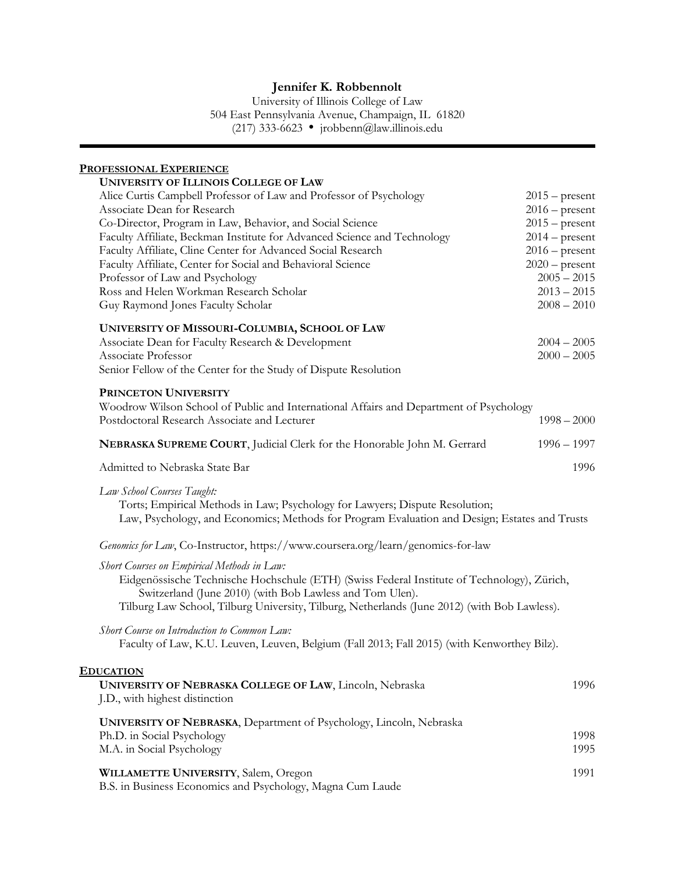University of Illinois College of Law 504 East Pennsylvania Avenue, Champaign, IL 61820 (217) 333-6623 ● jrobbenn@law.illinois.edu

## **PROFESSIONAL EXPERIENCE**

| <b>UNIVERSITY OF ILLINOIS COLLEGE OF LAW</b>                                                                                               |                  |  |
|--------------------------------------------------------------------------------------------------------------------------------------------|------------------|--|
| Alice Curtis Campbell Professor of Law and Professor of Psychology                                                                         | $2015$ – present |  |
| Associate Dean for Research                                                                                                                | $2016$ – present |  |
| Co-Director, Program in Law, Behavior, and Social Science                                                                                  | $2015$ – present |  |
| Faculty Affiliate, Beckman Institute for Advanced Science and Technology                                                                   | $2014$ – present |  |
| Faculty Affiliate, Cline Center for Advanced Social Research                                                                               | $2016$ – present |  |
| Faculty Affiliate, Center for Social and Behavioral Science                                                                                | $2020$ – present |  |
| Professor of Law and Psychology                                                                                                            | $2005 - 2015$    |  |
| Ross and Helen Workman Research Scholar                                                                                                    | $2013 - 2015$    |  |
| Guy Raymond Jones Faculty Scholar                                                                                                          | $2008 - 2010$    |  |
| UNIVERSITY OF MISSOURI-COLUMBIA, SCHOOL OF LAW                                                                                             |                  |  |
| Associate Dean for Faculty Research & Development                                                                                          | $2004 - 2005$    |  |
| Associate Professor                                                                                                                        | $2000 - 2005$    |  |
| Senior Fellow of the Center for the Study of Dispute Resolution                                                                            |                  |  |
| PRINCETON UNIVERSITY                                                                                                                       |                  |  |
| Woodrow Wilson School of Public and International Affairs and Department of Psychology                                                     |                  |  |
| Postdoctoral Research Associate and Lecturer                                                                                               | $1998 - 2000$    |  |
| NEBRASKA SUPREME COURT, Judicial Clerk for the Honorable John M. Gerrard                                                                   | $1996 - 1997$    |  |
| Admitted to Nebraska State Bar                                                                                                             | 1996             |  |
| Law School Courses Taught:                                                                                                                 |                  |  |
| Torts; Empirical Methods in Law; Psychology for Lawyers; Dispute Resolution;                                                               |                  |  |
| Law, Psychology, and Economics; Methods for Program Evaluation and Design; Estates and Trusts                                              |                  |  |
| Genomics for Law, Co-Instructor, https://www.coursera.org/learn/genomics-for-law                                                           |                  |  |
| Short Courses on Empirical Methods in Law:                                                                                                 |                  |  |
| Eidgenössische Technische Hochschule (ETH) (Swiss Federal Institute of Technology), Zürich,                                                |                  |  |
| Switzerland (June 2010) (with Bob Lawless and Tom Ulen).                                                                                   |                  |  |
| Tilburg Law School, Tilburg University, Tilburg, Netherlands (June 2012) (with Bob Lawless).                                               |                  |  |
|                                                                                                                                            |                  |  |
| Short Course on Introduction to Common Law:<br>Faculty of Law, K.U. Leuven, Leuven, Belgium (Fall 2013; Fall 2015) (with Kenworthey Bilz). |                  |  |
|                                                                                                                                            |                  |  |
| <b>EDUCATION</b>                                                                                                                           |                  |  |
| UNIVERSITY OF NEBRASKA COLLEGE OF LAW, Lincoln, Nebraska<br>1996                                                                           |                  |  |
| J.D., with highest distinction                                                                                                             |                  |  |

| <b>UNIVERSITY OF NEBRASKA, Department of Psychology, Lincoln, Nebraska</b> |      |
|----------------------------------------------------------------------------|------|
| Ph.D. in Social Psychology                                                 | 1998 |
| M.A. in Social Psychology                                                  | 1995 |
| <b>WILLAMETTE UNIVERSITY, Salem, Oregon</b>                                | 1991 |

B.S. in Business Economics and Psychology, Magna Cum Laude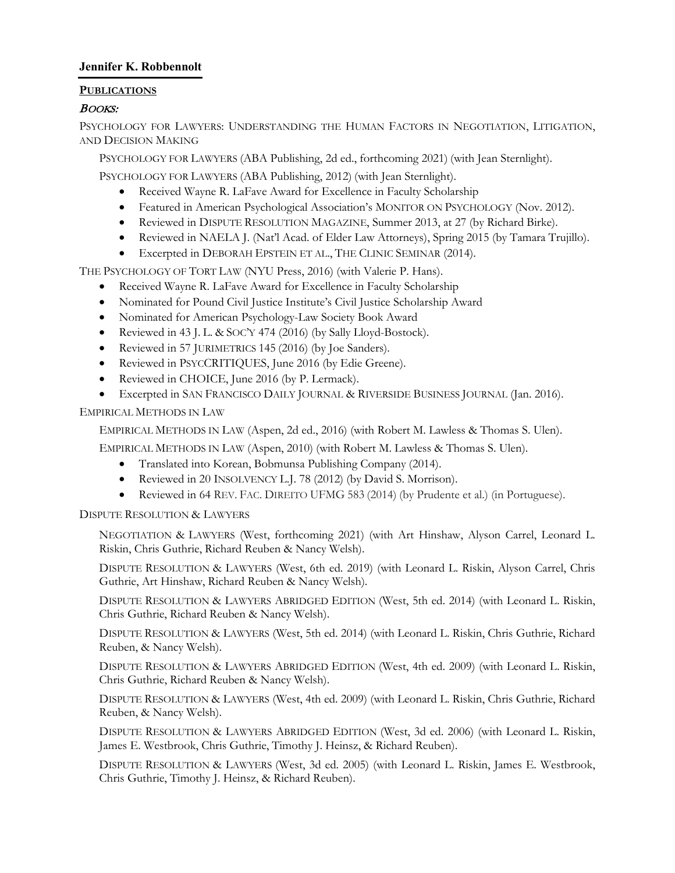### **PUBLICATIONS**

## BOOKS:

PSYCHOLOGY FOR LAWYERS: UNDERSTANDING THE HUMAN FACTORS IN NEGOTIATION, LITIGATION, AND DECISION MAKING

PSYCHOLOGY FOR LAWYERS (ABA Publishing, 2d ed., forthcoming 2021) (with Jean Sternlight).

PSYCHOLOGY FOR LAWYERS (ABA Publishing, 2012) (with Jean Sternlight).

- Received Wayne R. LaFave Award for Excellence in Faculty Scholarship
- Featured in American Psychological Association's MONITOR ON PSYCHOLOGY (Nov. 2012).
- Reviewed in DISPUTE RESOLUTION MAGAZINE, Summer 2013, at 27 (by Richard Birke).
- Reviewed in NAELA J. (Nat'l Acad. of Elder Law Attorneys), Spring 2015 (by Tamara Trujillo).
- Excerpted in DEBORAH EPSTEIN ET AL., THE CLINIC SEMINAR (2014).

THE PSYCHOLOGY OF TORT LAW (NYU Press, 2016) (with Valerie P. Hans).

- Received Wayne R. LaFave Award for Excellence in Faculty Scholarship
- Nominated for Pound Civil Justice Institute's Civil Justice Scholarship Award
- Nominated for American Psychology-Law Society Book Award
- Reviewed in 43 J. L. & SOC'Y 474 (2016) (by Sally Lloyd-Bostock).
- Reviewed in 57 JURIMETRICS 145 (2016) (by Joe Sanders).
- Reviewed in PSYCCRITIQUES, June 2016 (by Edie Greene).
- Reviewed in CHOICE, June 2016 (by P. Lermack).
- Excerpted in SAN FRANCISCO DAILY JOURNAL & RIVERSIDE BUSINESS JOURNAL (Jan. 2016).

EMPIRICAL METHODS IN LAW

EMPIRICAL METHODS IN LAW (Aspen, 2d ed., 2016) (with Robert M. Lawless & Thomas S. Ulen).

EMPIRICAL METHODS IN LAW (Aspen, 2010) (with Robert M. Lawless & Thomas S. Ulen).

- Translated into Korean, Bobmunsa Publishing Company (2014).
- Reviewed in 20 INSOLVENCY L.J. 78 (2012) (by David S. Morrison).
- Reviewed in 64 REV. FAC. DIREITO UFMG 583 (2014) (by Prudente et al.) (in Portuguese).

DISPUTE RESOLUTION & LAWYERS

NEGOTIATION & LAWYERS (West, forthcoming 2021) (with Art Hinshaw, Alyson Carrel, Leonard L. Riskin, Chris Guthrie, Richard Reuben & Nancy Welsh).

DISPUTE RESOLUTION & LAWYERS (West, 6th ed. 2019) (with Leonard L. Riskin, Alyson Carrel, Chris Guthrie, Art Hinshaw, Richard Reuben & Nancy Welsh).

DISPUTE RESOLUTION & LAWYERS ABRIDGED EDITION (West, 5th ed. 2014) (with Leonard L. Riskin, Chris Guthrie, Richard Reuben & Nancy Welsh).

DISPUTE RESOLUTION & LAWYERS (West, 5th ed. 2014) (with Leonard L. Riskin, Chris Guthrie, Richard Reuben, & Nancy Welsh).

DISPUTE RESOLUTION & LAWYERS ABRIDGED EDITION (West, 4th ed. 2009) (with Leonard L. Riskin, Chris Guthrie, Richard Reuben & Nancy Welsh).

DISPUTE RESOLUTION & LAWYERS (West, 4th ed. 2009) (with Leonard L. Riskin, Chris Guthrie, Richard Reuben, & Nancy Welsh).

DISPUTE RESOLUTION & LAWYERS ABRIDGED EDITION (West, 3d ed. 2006) (with Leonard L. Riskin, James E. Westbrook, Chris Guthrie, Timothy J. Heinsz, & Richard Reuben).

DISPUTE RESOLUTION & LAWYERS (West, 3d ed. 2005) (with Leonard L. Riskin, James E. Westbrook, Chris Guthrie, Timothy J. Heinsz, & Richard Reuben).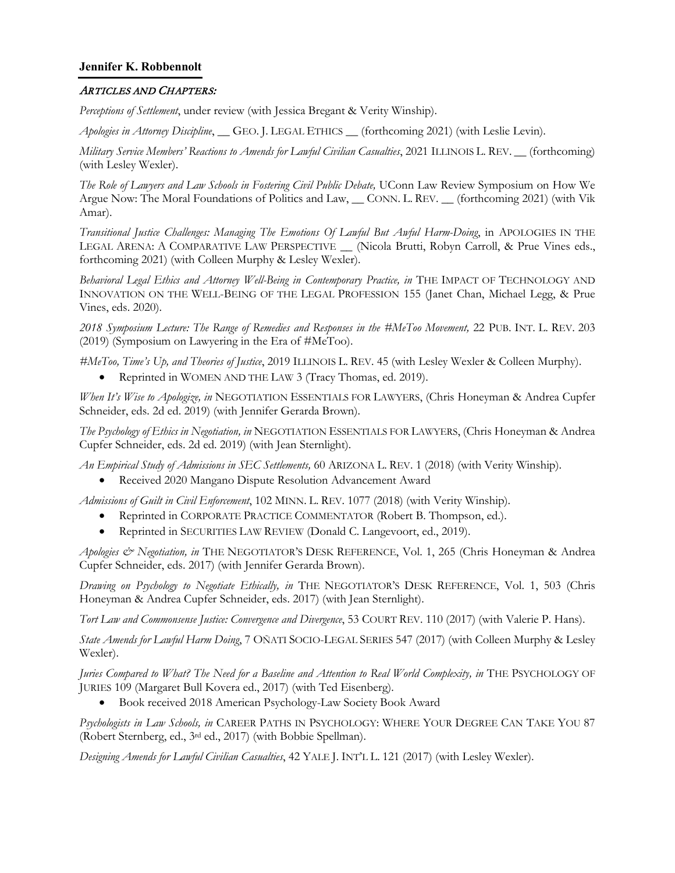#### ARTICLES AND CHAPTERS:

*Perceptions of Settlement*, under review (with Jessica Bregant & Verity Winship).

*Apologies in Attorney Discipline*, \_\_ GEO. J. LEGAL ETHICS \_\_ (forthcoming 2021) (with Leslie Levin).

*Military Service Members' Reactions to Amends for Lawful Civilian Casualties*, 2021 ILLINOIS L. REV. \_\_ (forthcoming) (with Lesley Wexler).

*The Role of Lawyers and Law Schools in Fostering Civil Public Debate,* UConn Law Review Symposium on How We Argue Now: The Moral Foundations of Politics and Law, \_\_ CONN. L. REV. \_\_ (forthcoming 2021) (with Vik Amar).

*Transitional Justice Challenges: Managing The Emotions Of Lawful But Awful Harm-Doing*, in APOLOGIES IN THE LEGAL ARENA: A COMPARATIVE LAW PERSPECTIVE \_ (Nicola Brutti, Robyn Carroll, & Prue Vines eds., forthcoming 2021) (with Colleen Murphy & Lesley Wexler).

*Behavioral Legal Ethics and Attorney Well-Being in Contemporary Practice, in* THE IMPACT OF TECHNOLOGY AND INNOVATION ON THE WELL-BEING OF THE LEGAL PROFESSION 155 (Janet Chan, Michael Legg, & Prue Vines, eds. 2020).

*2018 Symposium Lecture: The Range of Remedies and Responses in the #MeToo Movement,* 22 PUB. INT. L. REV. 203 (2019) (Symposium on Lawyering in the Era of #MeToo).

*#MeToo, Time's Up, and Theories of Justice*, 2019 ILLINOIS L. REV. 45 (with Lesley Wexler & Colleen Murphy).

Reprinted in WOMEN AND THE LAW 3 (Tracy Thomas, ed. 2019).

*When It's Wise to Apologize, in* NEGOTIATION ESSENTIALS FOR LAWYERS, (Chris Honeyman & Andrea Cupfer Schneider, eds. 2d ed. 2019) (with Jennifer Gerarda Brown).

*The Psychology of Ethics in Negotiation, in* NEGOTIATION ESSENTIALS FOR LAWYERS, (Chris Honeyman & Andrea Cupfer Schneider, eds. 2d ed. 2019) (with Jean Sternlight).

*An Empirical Study of Admissions in SEC Settlements,* 60 ARIZONA L. REV. 1 (2018) (with Verity Winship).

• Received 2020 Mangano Dispute Resolution Advancement Award

*Admissions of Guilt in Civil Enforcement*, 102 MINN. L. REV. 1077 (2018) (with Verity Winship).

- Reprinted in CORPORATE PRACTICE COMMENTATOR (Robert B. Thompson, ed.).
- Reprinted in SECURITIES LAW REVIEW (Donald C. Langevoort, ed., 2019).

*Apologies & Negotiation, in* THE NEGOTIATOR'S DESK REFERENCE, Vol. 1, 265 (Chris Honeyman & Andrea Cupfer Schneider, eds. 2017) (with Jennifer Gerarda Brown).

*Drawing on Psychology to Negotiate Ethically, in* THE NEGOTIATOR'S DESK REFERENCE, Vol. 1, 503 (Chris Honeyman & Andrea Cupfer Schneider, eds. 2017) (with Jean Sternlight).

*Tort Law and Commonsense Justice: Convergence and Divergence*, 53 COURT REV. 110 (2017) (with Valerie P. Hans).

*State Amends for Lawful Harm Doing*, 7 OÑATI SOCIO-LEGAL SERIES 547 (2017) (with Colleen Murphy & Lesley Wexler).

*Juries Compared to What? The Need for a Baseline and Attention to Real World Complexity, in THE PSYCHOLOGY OF* JURIES 109 (Margaret Bull Kovera ed., 2017) (with Ted Eisenberg).

• Book received 2018 American Psychology-Law Society Book Award

*Psychologists in Law Schools, in* CAREER PATHS IN PSYCHOLOGY: WHERE YOUR DEGREE CAN TAKE YOU 87 (Robert Sternberg, ed., 3rd ed., 2017) (with Bobbie Spellman).

*Designing Amends for Lawful Civilian Casualties*, 42 YALE J. INT'L L. 121 (2017) (with Lesley Wexler).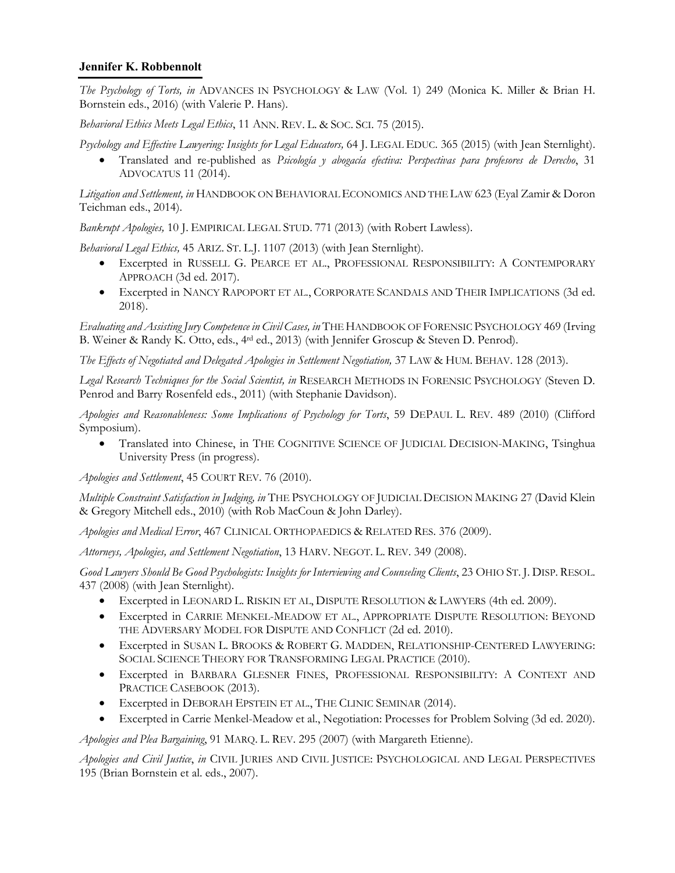*The Psychology of Torts, in* ADVANCES IN PSYCHOLOGY & LAW (Vol. 1) 249 (Monica K. Miller & Brian H. Bornstein eds., 2016) (with Valerie P. Hans).

*Behavioral Ethics Meets Legal Ethics*, 11 ANN. REV. L. & SOC. SCI. 75 (2015).

*Psychology and Effective Lawyering: Insights for Legal Educators,* 64 J. LEGAL EDUC. 365 (2015) (with Jean Sternlight).

• Translated and re-published as *Psicología y abogacía efectiva: Perspectivas para profesores de Derecho*, 31 ADVOCATUS 11 (2014).

*Litigation and Settlement, in* HANDBOOK ON BEHAVIORAL ECONOMICS AND THE LAW 623 (Eyal Zamir & Doron Teichman eds., 2014).

*Bankrupt Apologies,* 10 J. EMPIRICAL LEGAL STUD. 771 (2013) (with Robert Lawless).

*Behavioral Legal Ethics,* 45 ARIZ. ST. L.J. 1107 (2013) (with Jean Sternlight).

- Excerpted in RUSSELL G. PEARCE ET AL., PROFESSIONAL RESPONSIBILITY: A CONTEMPORARY APPROACH (3d ed. 2017).
- Excerpted in NANCY RAPOPORT ET AL., CORPORATE SCANDALS AND THEIR IMPLICATIONS (3d ed. 2018).

*Evaluating and Assisting Jury Competence in Civil Cases, in* THE HANDBOOK OF FORENSIC PSYCHOLOGY 469 (Irving B. Weiner & Randy K. Otto, eds., 4rd ed., 2013) (with Jennifer Groscup & Steven D. Penrod).

*The Effects of Negotiated and Delegated Apologies in Settlement Negotiation,* 37 LAW & HUM. BEHAV. 128 (2013).

*Legal Research Techniques for the Social Scientist, in* RESEARCH METHODS IN FORENSIC PSYCHOLOGY (Steven D. Penrod and Barry Rosenfeld eds., 2011) (with Stephanie Davidson).

*Apologies and Reasonableness: Some Implications of Psychology for Torts*, 59 DEPAUL L. REV. 489 (2010) (Clifford Symposium).

• Translated into Chinese, in THE COGNITIVE SCIENCE OF JUDICIAL DECISION-MAKING, Tsinghua University Press (in progress).

*Apologies and Settlement*, 45 COURT REV. 76 (2010).

*Multiple Constraint Satisfaction in Judging, in* THE PSYCHOLOGY OF JUDICIAL DECISION MAKING 27 (David Klein & Gregory Mitchell eds., 2010) (with Rob MacCoun & John Darley).

*Apologies and Medical Error*, 467 CLINICAL ORTHOPAEDICS & RELATED RES. 376 (2009).

*Attorneys, Apologies, and Settlement Negotiation*, 13 HARV. NEGOT. L. REV. 349 (2008).

*Good Lawyers Should Be Good Psychologists: Insights for Interviewing and Counseling Clients*, 23 OHIO ST. J. DISP. RESOL. 437 (2008) (with Jean Sternlight).

- Excerpted in LEONARD L. RISKIN ET AL, DISPUTE RESOLUTION & LAWYERS (4th ed. 2009).
- Excerpted in CARRIE MENKEL-MEADOW ET AL., APPROPRIATE DISPUTE RESOLUTION: BEYOND THE ADVERSARY MODEL FOR DISPUTE AND CONFLICT (2d ed. 2010).
- Excerpted in SUSAN L. BROOKS & ROBERT G. MADDEN, RELATIONSHIP-CENTERED LAWYERING: SOCIAL SCIENCE THEORY FOR TRANSFORMING LEGAL PRACTICE (2010).
- Excerpted in BARBARA GLESNER FINES, PROFESSIONAL RESPONSIBILITY: A CONTEXT AND PRACTICE CASEBOOK (2013).
- Excerpted in DEBORAH EPSTEIN ET AL., THE CLINIC SEMINAR (2014).
- Excerpted in Carrie Menkel-Meadow et al., Negotiation: Processes for Problem Solving (3d ed. 2020).

*Apologies and Plea Bargaining*, 91 MARQ. L. REV. 295 (2007) (with Margareth Etienne).

*Apologies and Civil Justice*, *in* CIVIL JURIES AND CIVIL JUSTICE: PSYCHOLOGICAL AND LEGAL PERSPECTIVES 195 (Brian Bornstein et al. eds., 2007).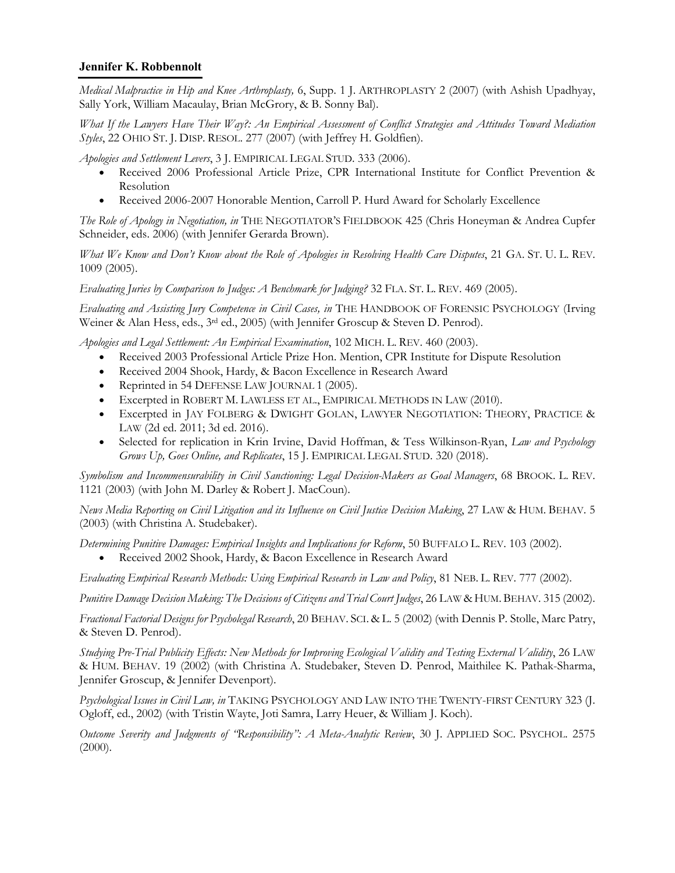*Medical Malpractice in Hip and Knee Arthroplasty,* 6, Supp. 1 J. ARTHROPLASTY 2 (2007) (with Ashish Upadhyay, Sally York, William Macaulay, Brian McGrory, & B. Sonny Bal).

*What If the Lawyers Have Their Way?: An Empirical Assessment of Conflict Strategies and Attitudes Toward Mediation Styles*, 22 OHIO ST. J. DISP. RESOL. 277 (2007) (with Jeffrey H. Goldfien).

*Apologies and Settlement Levers*, 3 J. EMPIRICAL LEGAL STUD. 333 (2006).

- Received 2006 Professional Article Prize, CPR International Institute for Conflict Prevention & Resolution
- Received 2006-2007 Honorable Mention, Carroll P. Hurd Award for Scholarly Excellence

*The Role of Apology in Negotiation, in* THE NEGOTIATOR'S FIELDBOOK 425 (Chris Honeyman & Andrea Cupfer Schneider, eds. 2006) (with Jennifer Gerarda Brown).

*What We Know and Don't Know about the Role of Apologies in Resolving Health Care Disputes*, 21 GA. ST. U. L. REV. 1009 (2005).

*Evaluating Juries by Comparison to Judges: A Benchmark for Judging?* 32 FLA. ST. L. REV. 469 (2005).

*Evaluating and Assisting Jury Competence in Civil Cases, in* THE HANDBOOK OF FORENSIC PSYCHOLOGY (Irving Weiner & Alan Hess, eds., 3<sup>rd</sup> ed., 2005) (with Jennifer Groscup & Steven D. Penrod).

*Apologies and Legal Settlement: An Empirical Examination*, 102 MICH. L. REV. 460 (2003).

- Received 2003 Professional Article Prize Hon. Mention, CPR Institute for Dispute Resolution
- Received 2004 Shook, Hardy, & Bacon Excellence in Research Award
- Reprinted in 54 DEFENSE LAW JOURNAL 1 (2005).
- Excerpted in ROBERT M. LAWLESS ET AL., EMPIRICAL METHODS IN LAW (2010).
- Excerpted in JAY FOLBERG & DWIGHT GOLAN, LAWYER NEGOTIATION: THEORY, PRACTICE & LAW (2d ed. 2011; 3d ed. 2016).
- Selected for replication in Krin Irvine, David Hoffman, & Tess Wilkinson-Ryan, *Law and Psychology Grows Up, Goes Online, and Replicates*, 15 J. EMPIRICAL LEGAL STUD. 320 (2018).

*Symbolism and Incommensurability in Civil Sanctioning: Legal Decision-Makers as Goal Managers*, 68 BROOK. L. REV. 1121 (2003) (with John M. Darley & Robert J. MacCoun).

*News Media Reporting on Civil Litigation and its Influence on Civil Justice Decision Making*, 27 LAW & HUM. BEHAV. 5 (2003) (with Christina A. Studebaker).

*Determining Punitive Damages: Empirical Insights and Implications for Reform*, 50 BUFFALO L. REV. 103 (2002). • Received 2002 Shook, Hardy, & Bacon Excellence in Research Award

*Evaluating Empirical Research Methods: Using Empirical Research in Law and Policy*, 81 NEB. L. REV. 777 (2002).

Punitive Damage Decision Making: The Decisions of Citizens and Trial Court Judges, 26 LAW & HUM. BEHAV. 315 (2002).

*Fractional Factorial Designs for Psycholegal Research*, 20 BEHAV. SCI. & L. 5 (2002) (with Dennis P. Stolle, Marc Patry, & Steven D. Penrod).

*Studying Pre-Trial Publicity Effects: New Methods for Improving Ecological Validity and Testing External Validity*, 26 LAW & HUM. BEHAV. 19 (2002) (with Christina A. Studebaker, Steven D. Penrod, Maithilee K. Pathak-Sharma, Jennifer Groscup, & Jennifer Devenport).

*Psychological Issues in Civil Law, in* TAKING PSYCHOLOGY AND LAW INTO THE TWENTY-FIRST CENTURY 323 (J. Ogloff, ed., 2002) (with Tristin Wayte, Joti Samra, Larry Heuer, & William J. Koch).

*Outcome Severity and Judgments of "Responsibility": A Meta-Analytic Review*, 30 J. APPLIED SOC. PSYCHOL. 2575  $(2000).$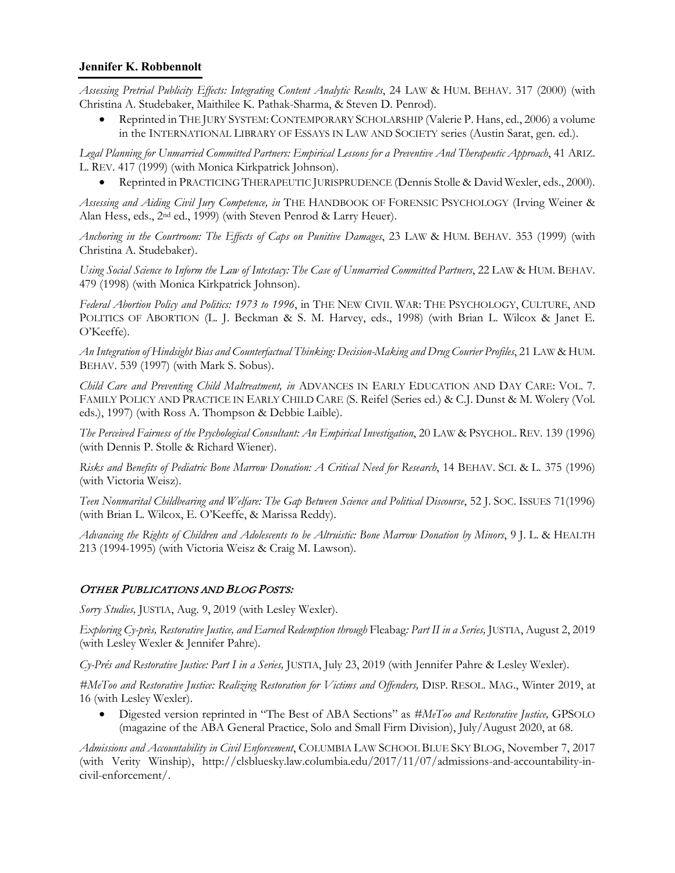*Assessing Pretrial Publicity Effects: Integrating Content Analytic Results*, 24 LAW & HUM. BEHAV. 317 (2000) (with Christina A. Studebaker, Maithilee K. Pathak-Sharma, & Steven D. Penrod).

• Reprinted in THE JURY SYSTEM: CONTEMPORARY SCHOLARSHIP (Valerie P. Hans, ed., 2006) a volume in the INTERNATIONAL LIBRARY OF ESSAYS IN LAW AND SOCIETY series (Austin Sarat, gen. ed.).

*Legal Planning for Unmarried Committed Partners: Empirical Lessons for a Preventive And Therapeutic Approach*, 41 ARIZ. L. REV. 417 (1999) (with Monica Kirkpatrick Johnson).

• Reprinted in PRACTICING THERAPEUTIC JURISPRUDENCE (Dennis Stolle & David Wexler, eds., 2000).

*Assessing and Aiding Civil Jury Competence, in* THE HANDBOOK OF FORENSIC PSYCHOLOGY (Irving Weiner & Alan Hess, eds., 2nd ed., 1999) (with Steven Penrod & Larry Heuer).

*Anchoring in the Courtroom: The Effects of Caps on Punitive Damages*, 23 LAW & HUM. BEHAV. 353 (1999) (with Christina A. Studebaker).

*Using Social Science to Inform the Law of Intestacy: The Case of Unmarried Committed Partners*, 22 LAW & HUM. BEHAV. 479 (1998) (with Monica Kirkpatrick Johnson).

*Federal Abortion Policy and Politics: 1973 to 1996*, in THE NEW CIVIL WAR: THE PSYCHOLOGY, CULTURE, AND POLITICS OF ABORTION (L. J. Beckman & S. M. Harvey, eds., 1998) (with Brian L. Wilcox & Janet E. O'Keeffe).

*An Integration of Hindsight Bias and Counterfactual Thinking: Decision-Making and Drug Courier Profiles*, 21 LAW & HUM. BEHAV. 539 (1997) (with Mark S. Sobus).

*Child Care and Preventing Child Maltreatment, in* ADVANCES IN EARLY EDUCATION AND DAY CARE: VOL. 7. FAMILY POLICY AND PRACTICE IN EARLY CHILD CARE (S. Reifel (Series ed.) & C.J. Dunst & M. Wolery (Vol. eds.), 1997) (with Ross A. Thompson & Debbie Laible).

*The Perceived Fairness of the Psychological Consultant: An Empirical Investigation*, 20 LAW & PSYCHOL. REV. 139 (1996) (with Dennis P. Stolle & Richard Wiener).

*Risks and Benefits of Pediatric Bone Marrow Donation: A Critical Need for Research*, 14 BEHAV. SCI. & L. 375 (1996) (with Victoria Weisz).

*Teen Nonmarital Childbearing and Welfare: The Gap Between Science and Political Discourse*, 52 J. SOC. ISSUES 71(1996) (with Brian L. Wilcox, E. O'Keeffe, & Marissa Reddy).

*Advancing the Rights of Children and Adolescents to be Altruistic: Bone Marrow Donation by Minors*, 9 J. L. & HEALTH 213 (1994-1995) (with Victoria Weisz & Craig M. Lawson).

### OTHER PUBLICATIONS AND BLOG POSTS:

*Sorry Studies,* JUSTIA, Aug. 9, 2019 (with Lesley Wexler).

*Exploring Cy-près, Restorative Justice, and Earned Redemption through* Fleabag*: Part II in a Series,* JUSTIA, August 2, 2019 (with Lesley Wexler & Jennifer Pahre).

*Cy-Prés and Restorative Justice: Part I in a Series,* JUSTIA, July 23, 2019 (with Jennifer Pahre & Lesley Wexler).

*#MeToo and Restorative Justice: Realizing Restoration for Victims and Offenders,* DISP. RESOL. MAG., Winter 2019, at 16 (with Lesley Wexler).

• Digested version reprinted in "The Best of ABA Sections" as *#MeToo and Restorative Justice,* GPSOLO (magazine of the ABA General Practice, Solo and Small Firm Division), July/August 2020, at 68.

*Admissions and Accountability in Civil Enforcement*, COLUMBIA LAW SCHOOL BLUE SKY BLOG, November 7, 2017 (with Verity Winship), http://clsbluesky.law.columbia.edu/2017/11/07/admissions-and-accountability-incivil-enforcement/.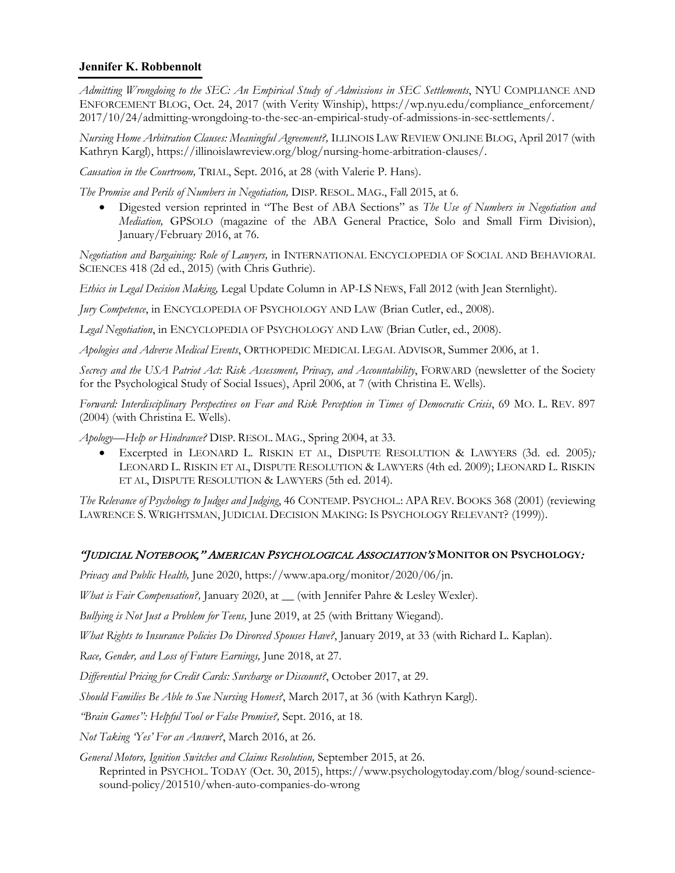*Admitting Wrongdoing to the SEC: An Empirical Study of Admissions in SEC Settlements*, NYU COMPLIANCE AND ENFORCEMENT BLOG, Oct. 24, 2017 (with Verity Winship), https://wp.nyu.edu/compliance\_enforcement/ 2017/10/24/admitting-wrongdoing-to-the-sec-an-empirical-study-of-admissions-in-sec-settlements/.

*Nursing Home Arbitration Clauses: Meaningful Agreement?,* ILLINOIS LAW REVIEW ONLINE BLOG, April 2017 (with Kathryn Kargl), https://illinoislawreview.org/blog/nursing-home-arbitration-clauses/.

*Causation in the Courtroom,* TRIAL, Sept. 2016, at 28 (with Valerie P. Hans).

*The Promise and Perils of Numbers in Negotiation,* DISP. RESOL. MAG., Fall 2015, at 6.

• Digested version reprinted in "The Best of ABA Sections" as *The Use of Numbers in Negotiation and Mediation,* GPSOLO (magazine of the ABA General Practice, Solo and Small Firm Division), January/February 2016, at 76.

*Negotiation and Bargaining: Role of Lawyers,* in INTERNATIONAL ENCYCLOPEDIA OF SOCIAL AND BEHAVIORAL SCIENCES 418 (2d ed., 2015) (with Chris Guthrie).

*Ethics in Legal Decision Making,* Legal Update Column in AP-LS NEWS, Fall 2012 (with Jean Sternlight).

*Jury Competence*, in ENCYCLOPEDIA OF PSYCHOLOGY AND LAW (Brian Cutler, ed., 2008).

*Legal Negotiation*, in ENCYCLOPEDIA OF PSYCHOLOGY AND LAW (Brian Cutler, ed., 2008).

*Apologies and Adverse Medical Events*, ORTHOPEDIC MEDICAL LEGAL ADVISOR, Summer 2006, at 1.

*Secrecy and the USA Patriot Act: Risk Assessment, Privacy, and Accountability*, FORWARD (newsletter of the Society for the Psychological Study of Social Issues), April 2006, at 7 (with Christina E. Wells).

*Forward: Interdisciplinary Perspectives on Fear and Risk Perception in Times of Democratic Crisis*, 69 MO. L. REV. 897 (2004) (with Christina E. Wells).

*Apology—Help or Hindrance?* DISP. RESOL. MAG., Spring 2004, at 33.

• Excerpted in LEONARD L. RISKIN ET AL, DISPUTE RESOLUTION & LAWYERS (3d. ed. 2005)*;*  LEONARD L. RISKIN ET AL, DISPUTE RESOLUTION & LAWYERS (4th ed. 2009); LEONARD L. RISKIN ET AL, DISPUTE RESOLUTION & LAWYERS (5th ed. 2014).

*The Relevance of Psychology to Judges and Judging*, 46 CONTEMP. PSYCHOL.: APA REV. BOOKS 368 (2001) (reviewing LAWRENCE S. WRIGHTSMAN, JUDICIAL DECISION MAKING: IS PSYCHOLOGY RELEVANT? (1999)).

### "JUDICIAL NOTEBOOK," AMERICAN PSYCHOLOGICAL ASSOCIATION'S **MONITOR ON PSYCHOLOGY**:

*Privacy and Public Health,* June 2020, https://www.apa.org/monitor/2020/06/jn.

*What is Fair Compensation?,* January 2020, at \_\_ (with Jennifer Pahre & Lesley Wexler).

*Bullying is Not Just a Problem for Teens,* June 2019, at 25 (with Brittany Wiegand).

*What Rights to Insurance Policies Do Divorced Spouses Have?*, January 2019, at 33 (with Richard L. Kaplan).

*Race, Gender, and Loss of Future Earnings,* June 2018, at 27.

*Differential Pricing for Credit Cards: Surcharge or Discount?*, October 2017, at 29.

*Should Families Be Able to Sue Nursing Homes?*, March 2017, at 36 (with Kathryn Kargl).

*"Brain Games": Helpful Tool or False Promise?,* Sept. 2016, at 18.

*Not Taking 'Yes' For an Answer?*, March 2016, at 26.

*General Motors, Ignition Switches and Claims Resolution,* September 2015, at 26. Reprinted in PSYCHOL. TODAY (Oct. 30, 2015), https://www.psychologytoday.com/blog/sound-sciencesound-policy/201510/when-auto-companies-do-wrong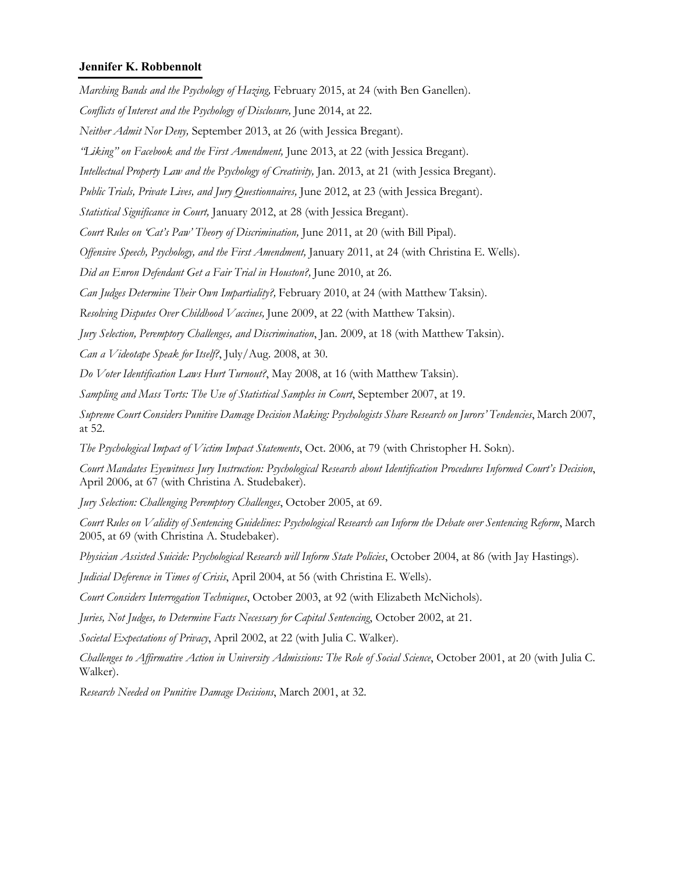*Marching Bands and the Psychology of Hazing,* February 2015, at 24 (with Ben Ganellen).

*Conflicts of Interest and the Psychology of Disclosure,* June 2014, at 22.

*Neither Admit Nor Deny,* September 2013, at 26 (with Jessica Bregant).

*"Liking" on Facebook and the First Amendment,* June 2013, at 22 (with Jessica Bregant).

*Intellectual Property Law and the Psychology of Creativity,* Jan. 2013, at 21 (with Jessica Bregant).

*Public Trials, Private Lives, and Jury Questionnaires,* June 2012, at 23 (with Jessica Bregant).

*Statistical Significance in Court,* January 2012, at 28 (with Jessica Bregant).

*Court Rules on 'Cat's Paw' Theory of Discrimination,* June 2011, at 20 (with Bill Pipal).

*Offensive Speech, Psychology, and the First Amendment,* January 2011, at 24 (with Christina E. Wells).

*Did an Enron Defendant Get a Fair Trial in Houston?,* June 2010, at 26.

*Can Judges Determine Their Own Impartiality?,* February 2010, at 24 (with Matthew Taksin).

*Resolving Disputes Over Childhood Vaccines,* June 2009, at 22 (with Matthew Taksin).

*Jury Selection, Peremptory Challenges, and Discrimination*, Jan. 2009, at 18 (with Matthew Taksin).

*Can a Videotape Speak for Itself?*, July/Aug. 2008, at 30.

*Do Voter Identification Laws Hurt Turnout?*, May 2008, at 16 (with Matthew Taksin).

*Sampling and Mass Torts: The Use of Statistical Samples in Court*, September 2007, at 19.

*Supreme Court Considers Punitive Damage Decision Making: Psychologists Share Research on Jurors' Tendencies*, March 2007, at 52.

*The Psychological Impact of Victim Impact Statements*, Oct. 2006, at 79 (with Christopher H. Sokn).

*Court Mandates Eyewitness Jury Instruction: Psychological Research about Identification Procedures Informed Court's Decision*, April 2006, at 67 (with Christina A. Studebaker).

*Jury Selection: Challenging Peremptory Challenges*, October 2005, at 69.

*Court Rules on Validity of Sentencing Guidelines: Psychological Research can Inform the Debate over Sentencing Reform*, March 2005, at 69 (with Christina A. Studebaker).

*Physician Assisted Suicide: Psychological Research will Inform State Policies*, October 2004, at 86 (with Jay Hastings).

*Judicial Deference in Times of Crisis*, April 2004, at 56 (with Christina E. Wells).

*Court Considers Interrogation Techniques*, October 2003, at 92 (with Elizabeth McNichols).

*Juries, Not Judges, to Determine Facts Necessary for Capital Sentencing*, October 2002, at 21.

*Societal Expectations of Privacy*, April 2002, at 22 (with Julia C. Walker).

*Challenges to Affirmative Action in University Admissions: The Role of Social Science*, October 2001, at 20 (with Julia C. Walker).

*Research Needed on Punitive Damage Decisions*, March 2001, at 32.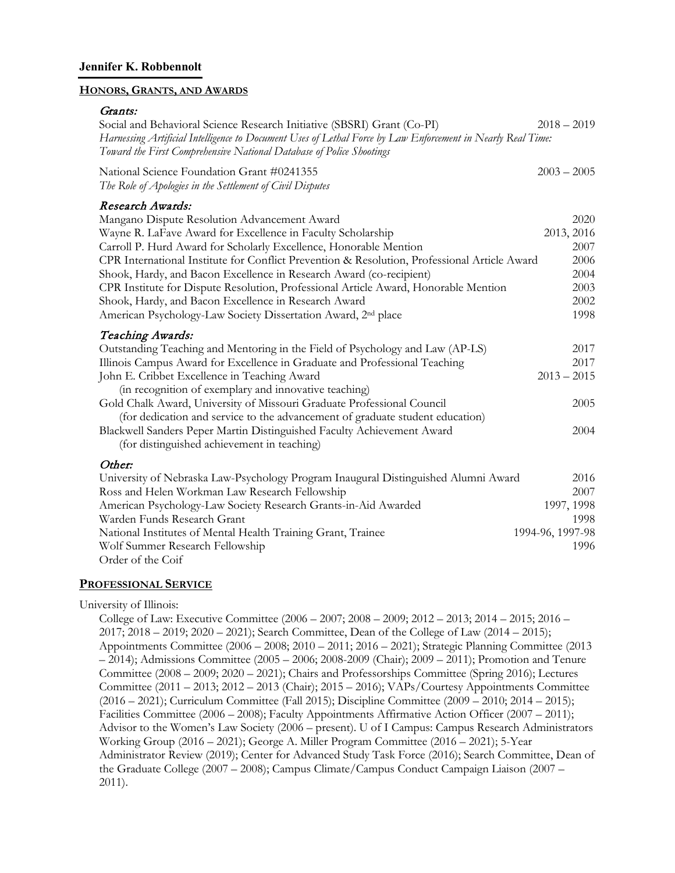#### **HONORS, GRANTS, AND AWARDS**

#### Grants:

| Social and Behavioral Science Research Initiative (SBSRI) Grant (Co-PI)                                                                                                             | $2018 - 2019$    |
|-------------------------------------------------------------------------------------------------------------------------------------------------------------------------------------|------------------|
| Harnessing Artificial Intelligence to Document Uses of Lethal Force by Law Enforcement in Nearly Real Time:<br>Toward the First Comprehensive National Database of Police Shootings |                  |
| National Science Foundation Grant #0241355<br>The Role of Apologies in the Settlement of Civil Disputes                                                                             | $2003 - 2005$    |
| Research Awards:                                                                                                                                                                    |                  |
| Mangano Dispute Resolution Advancement Award                                                                                                                                        | 2020             |
| Wayne R. LaFave Award for Excellence in Faculty Scholarship                                                                                                                         | 2013, 2016       |
| Carroll P. Hurd Award for Scholarly Excellence, Honorable Mention                                                                                                                   | 2007             |
| CPR International Institute for Conflict Prevention & Resolution, Professional Article Award                                                                                        | 2006             |
| Shook, Hardy, and Bacon Excellence in Research Award (co-recipient)                                                                                                                 | 2004             |
| CPR Institute for Dispute Resolution, Professional Article Award, Honorable Mention                                                                                                 | 2003             |
| Shook, Hardy, and Bacon Excellence in Research Award                                                                                                                                | 2002             |
| American Psychology-Law Society Dissertation Award, 2 <sup>nd</sup> place                                                                                                           | 1998             |
| Teaching Awards:                                                                                                                                                                    |                  |
| Outstanding Teaching and Mentoring in the Field of Psychology and Law (AP-LS)                                                                                                       | 2017             |
| Illinois Campus Award for Excellence in Graduate and Professional Teaching                                                                                                          | 2017             |
| John E. Cribbet Excellence in Teaching Award                                                                                                                                        | $2013 - 2015$    |
| (in recognition of exemplary and innovative teaching)                                                                                                                               |                  |
| Gold Chalk Award, University of Missouri Graduate Professional Council                                                                                                              | 2005             |
| (for dedication and service to the advancement of graduate student education)                                                                                                       |                  |
| Blackwell Sanders Peper Martin Distinguished Faculty Achievement Award                                                                                                              | 2004             |
| (for distinguished achievement in teaching)                                                                                                                                         |                  |
| Other:                                                                                                                                                                              |                  |
| University of Nebraska Law-Psychology Program Inaugural Distinguished Alumni Award                                                                                                  | 2016             |
| Ross and Helen Workman Law Research Fellowship                                                                                                                                      | 2007             |
| American Psychology-Law Society Research Grants-in-Aid Awarded                                                                                                                      | 1997, 1998       |
| Warden Funds Research Grant                                                                                                                                                         | 1998             |
| National Institutes of Mental Health Training Grant, Trainee                                                                                                                        | 1994-96, 1997-98 |
| Wolf Summer Research Fellowship                                                                                                                                                     | 1996             |
| Order of the Coif                                                                                                                                                                   |                  |

#### **PROFESSIONAL SERVICE**

#### University of Illinois:

College of Law: Executive Committee (2006 – 2007; 2008 – 2009; 2012 – 2013; 2014 – 2015; 2016 – 2017; 2018 – 2019; 2020 – 2021); Search Committee, Dean of the College of Law (2014 – 2015); Appointments Committee (2006 – 2008; 2010 – 2011; 2016 – 2021); Strategic Planning Committee (2013 – 2014); Admissions Committee (2005 – 2006; 2008-2009 (Chair); 2009 – 2011); Promotion and Tenure Committee (2008 – 2009; 2020 – 2021); Chairs and Professorships Committee (Spring 2016); Lectures Committee (2011 – 2013; 2012 – 2013 (Chair); 2015 – 2016); VAPs/Courtesy Appointments Committee (2016 – 2021); Curriculum Committee (Fall 2015); Discipline Committee (2009 – 2010; 2014 – 2015); Facilities Committee (2006 – 2008); Faculty Appointments Affirmative Action Officer (2007 – 2011); Advisor to the Women's Law Society (2006 – present). U of I Campus: Campus Research Administrators Working Group (2016 – 2021); George A. Miller Program Committee (2016 – 2021); 5-Year Administrator Review (2019); Center for Advanced Study Task Force (2016); Search Committee, Dean of the Graduate College (2007 – 2008); Campus Climate/Campus Conduct Campaign Liaison (2007 – 2011).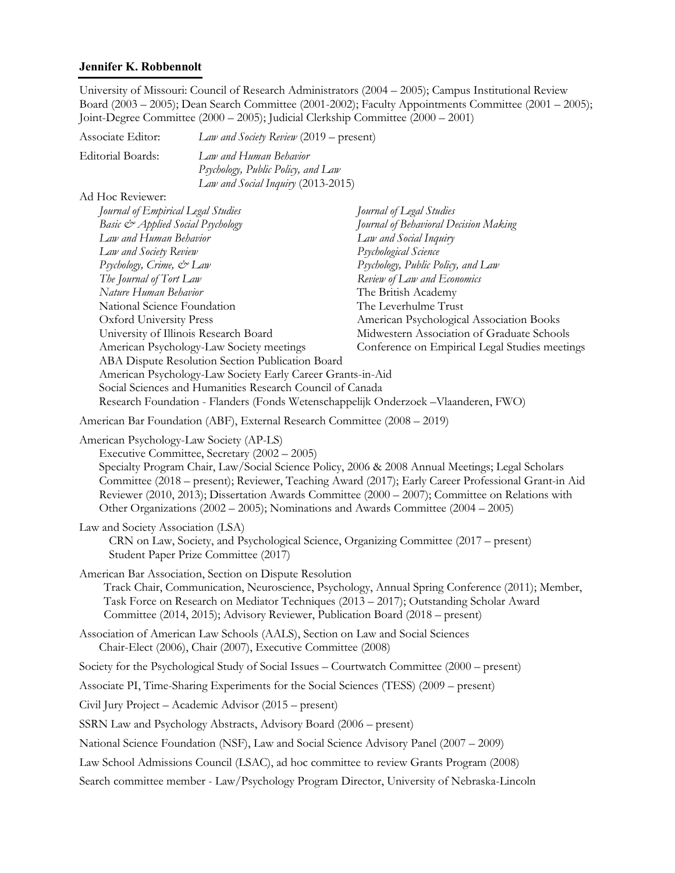University of Missouri: Council of Research Administrators (2004 – 2005); Campus Institutional Review Board (2003 – 2005); Dean Search Committee (2001-2002); Faculty Appointments Committee (2001 – 2005); Joint-Degree Committee (2000 – 2005); Judicial Clerkship Committee (2000 – 2001)

| Associate Editor:                                                                                                                                                                                                                                                                                                                         | Law and Society Review (2019 – present)                                                                                                        |                                                                                                                                                                                                                                                                                                                                                                                                |  |
|-------------------------------------------------------------------------------------------------------------------------------------------------------------------------------------------------------------------------------------------------------------------------------------------------------------------------------------------|------------------------------------------------------------------------------------------------------------------------------------------------|------------------------------------------------------------------------------------------------------------------------------------------------------------------------------------------------------------------------------------------------------------------------------------------------------------------------------------------------------------------------------------------------|--|
| <b>Editorial Boards:</b>                                                                                                                                                                                                                                                                                                                  | Law and Human Behavior<br>Psychology, Public Policy, and Law<br>Law and Social Inquiry (2013-2015)                                             |                                                                                                                                                                                                                                                                                                                                                                                                |  |
| Ad Hoc Reviewer:<br>Journal of Empirical Legal Studies<br>Basic & Applied Social Psychology<br>Law and Human Behavior<br>Law and Society Review<br>Psychology, Crime, & Law<br>The Journal of Tort Law<br>Nature Human Behavior<br>National Science Foundation<br><b>Oxford University Press</b><br>University of Illinois Research Board | American Psychology-Law Society meetings<br>ABA Dispute Resolution Section Publication Board                                                   | Journal of Legal Studies<br>Journal of Behavioral Decision Making<br>Law and Social Inquiry<br>Psychological Science<br>Psychology, Public Policy, and Law<br>Review of Law and Economics<br>The British Academy<br>The Leverhulme Trust<br>American Psychological Association Books<br>Midwestern Association of Graduate Schools<br>Conference on Empirical Legal Studies meetings           |  |
|                                                                                                                                                                                                                                                                                                                                           | American Psychology-Law Society Early Career Grants-in-Aid<br>Social Sciences and Humanities Research Council of Canada                        | Research Foundation - Flanders (Fonds Wetenschappelijk Onderzoek - Vlaanderen, FWO)                                                                                                                                                                                                                                                                                                            |  |
|                                                                                                                                                                                                                                                                                                                                           | American Bar Foundation (ABF), External Research Committee (2008 - 2019)                                                                       |                                                                                                                                                                                                                                                                                                                                                                                                |  |
| American Psychology-Law Society (AP-LS)                                                                                                                                                                                                                                                                                                   | Executive Committee, Secretary (2002 - 2005)                                                                                                   | Specialty Program Chair, Law/Social Science Policy, 2006 & 2008 Annual Meetings; Legal Scholars<br>Committee (2018 - present); Reviewer, Teaching Award (2017); Early Career Professional Grant-in Aid<br>Reviewer (2010, 2013); Dissertation Awards Committee (2000 – 2007); Committee on Relations with<br>Other Organizations (2002 – 2005); Nominations and Awards Committee (2004 – 2005) |  |
| Law and Society Association (LSA)                                                                                                                                                                                                                                                                                                         | Student Paper Prize Committee (2017)                                                                                                           | CRN on Law, Society, and Psychological Science, Organizing Committee (2017 – present)                                                                                                                                                                                                                                                                                                          |  |
|                                                                                                                                                                                                                                                                                                                                           | American Bar Association, Section on Dispute Resolution<br>Committee (2014, 2015); Advisory Reviewer, Publication Board (2018 – present)       | Track Chair, Communication, Neuroscience, Psychology, Annual Spring Conference (2011); Member,<br>Task Force on Research on Mediator Techniques (2013 – 2017); Outstanding Scholar Award                                                                                                                                                                                                       |  |
|                                                                                                                                                                                                                                                                                                                                           | Association of American Law Schools (AALS), Section on Law and Social Sciences<br>Chair-Elect (2006), Chair (2007), Executive Committee (2008) |                                                                                                                                                                                                                                                                                                                                                                                                |  |
|                                                                                                                                                                                                                                                                                                                                           |                                                                                                                                                | Society for the Psychological Study of Social Issues – Courtwatch Committee (2000 – present)                                                                                                                                                                                                                                                                                                   |  |
|                                                                                                                                                                                                                                                                                                                                           | Associate PI, Time-Sharing Experiments for the Social Sciences (TESS) (2009 – present)                                                         |                                                                                                                                                                                                                                                                                                                                                                                                |  |
|                                                                                                                                                                                                                                                                                                                                           | Civil Jury Project – Academic Advisor (2015 – present)                                                                                         |                                                                                                                                                                                                                                                                                                                                                                                                |  |
|                                                                                                                                                                                                                                                                                                                                           | SSRN Law and Psychology Abstracts, Advisory Board (2006 – present)                                                                             |                                                                                                                                                                                                                                                                                                                                                                                                |  |
|                                                                                                                                                                                                                                                                                                                                           | National Science Foundation (NSF), Law and Social Science Advisory Panel (2007 – 2009)                                                         |                                                                                                                                                                                                                                                                                                                                                                                                |  |
| Law School Admissions Council (LSAC), ad hoc committee to review Grants Program (2008)                                                                                                                                                                                                                                                    |                                                                                                                                                |                                                                                                                                                                                                                                                                                                                                                                                                |  |
|                                                                                                                                                                                                                                                                                                                                           |                                                                                                                                                | Search committee member - Law/Psychology Program Director, University of Nebraska-Lincoln                                                                                                                                                                                                                                                                                                      |  |